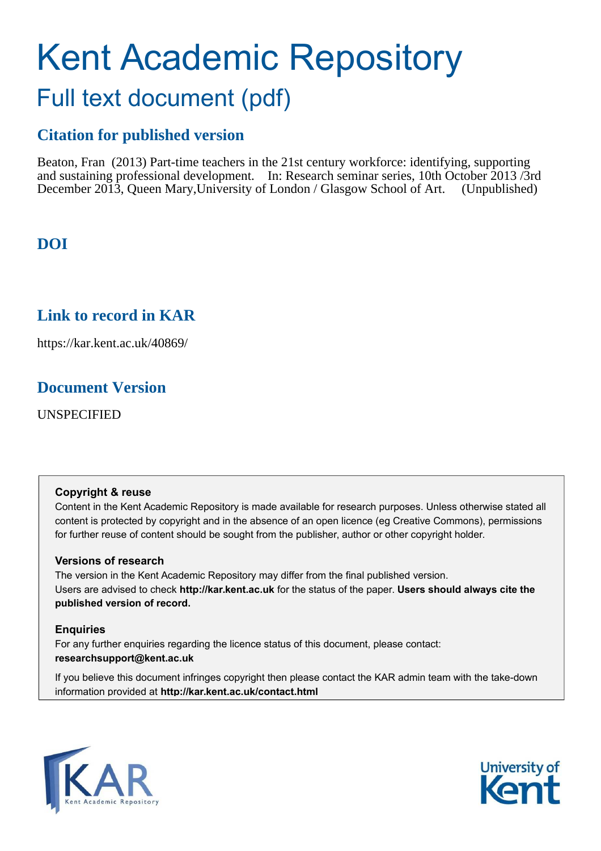### Kent Academic Repository Full text document (pdf)

#### **Citation for published version**

Beaton, Fran (2013) Part-time teachers in the 21st century workforce: identifying, supporting and sustaining professional development. In: Research seminar series, 10th October 2013 /3rd December 2013, Queen Mary,University of London / Glasgow School of Art. (Unpublished)

### **DOI**

#### **Link to record in KAR**

https://kar.kent.ac.uk/40869/

#### **Document Version**

UNSPECIFIED

#### **Copyright & reuse**

Content in the Kent Academic Repository is made available for research purposes. Unless otherwise stated all content is protected by copyright and in the absence of an open licence (eg Creative Commons), permissions for further reuse of content should be sought from the publisher, author or other copyright holder.

#### **Versions of research**

The version in the Kent Academic Repository may differ from the final published version. Users are advised to check **http://kar.kent.ac.uk** for the status of the paper. **Users should always cite the published version of record.**

#### **Enquiries**

For any further enquiries regarding the licence status of this document, please contact: **researchsupport@kent.ac.uk**

If you believe this document infringes copyright then please contact the KAR admin team with the take-down information provided at **http://kar.kent.ac.uk/contact.html**



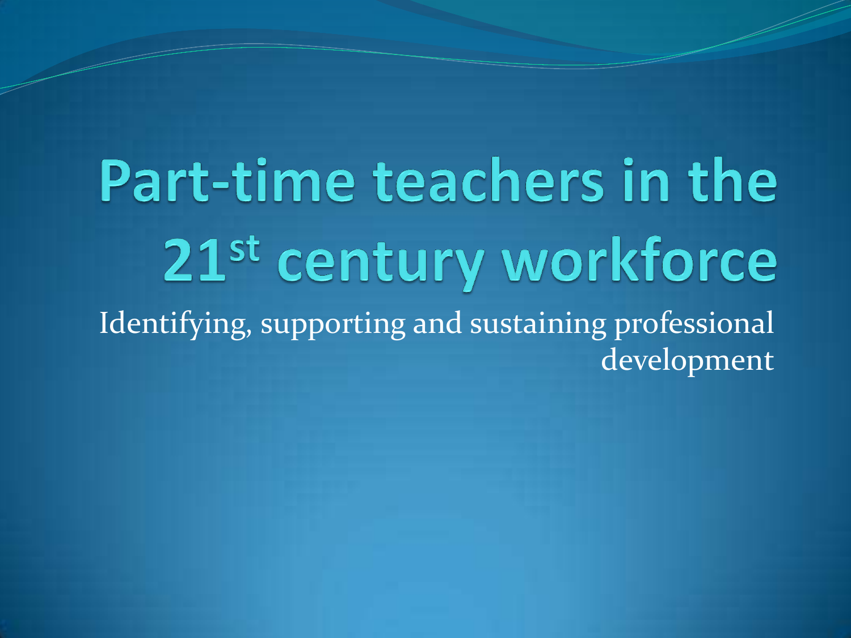Part-time teachers in the 21<sup>st</sup> century workforce Identifying, supporting and sustaining professional development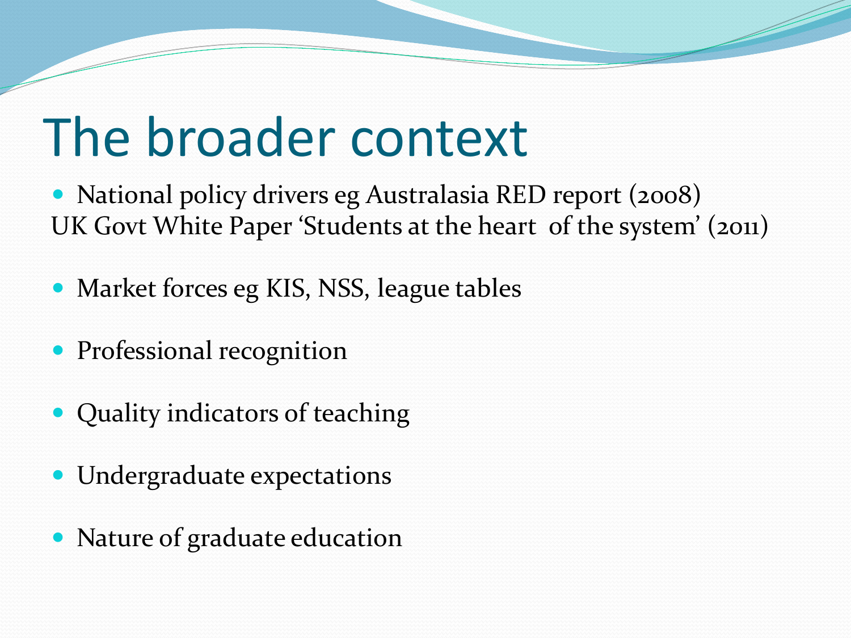### The broader context

 National policy drivers eg Australasia RED report (2008) UK Govt White Paper 'Students at the heart of the system' (2011)

- Market forces eg KIS, NSS, league tables
- Professional recognition
- Quality indicators of teaching
- Undergraduate expectations
- Nature of graduate education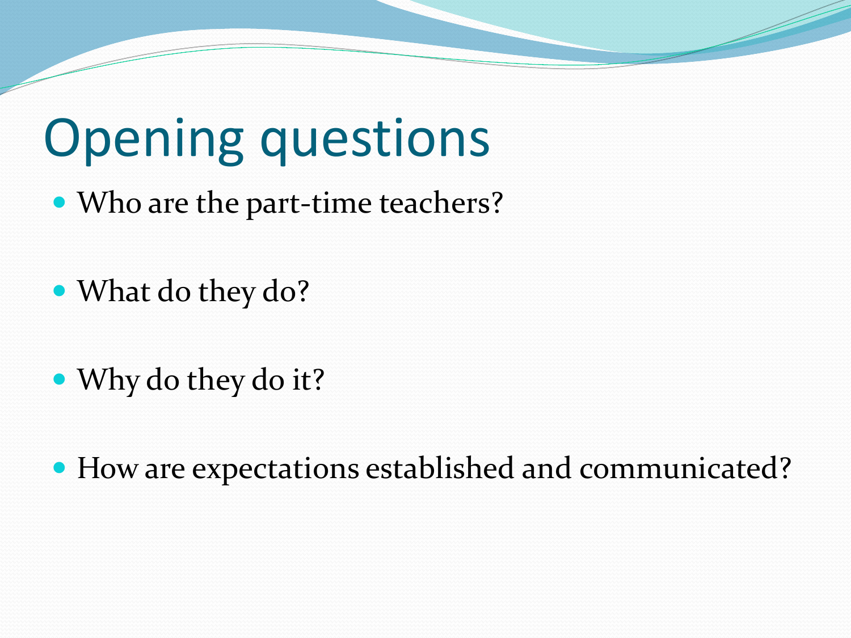## Opening questions

• Who are the part-time teachers?

- What do they do?
- Why do they do it?

How are expectations established and communicated?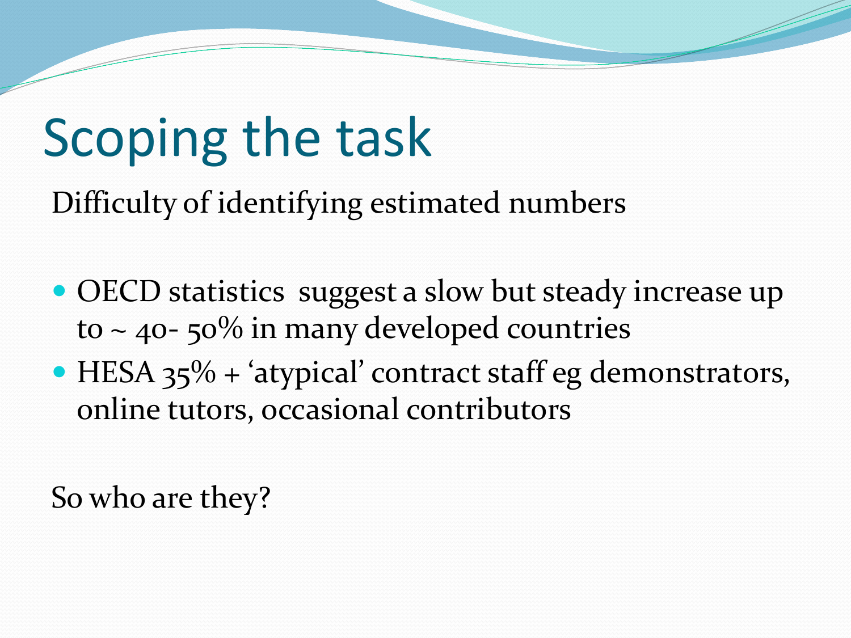# Scoping the task

Difficulty of identifying estimated numbers

- OECD statistics suggest a slow but steady increase up to  $\sim$  40- 50% in many developed countries
- HESA  $35\%$  + 'atypical' contract staff eg demonstrators, online tutors, occasional contributors

So who are they?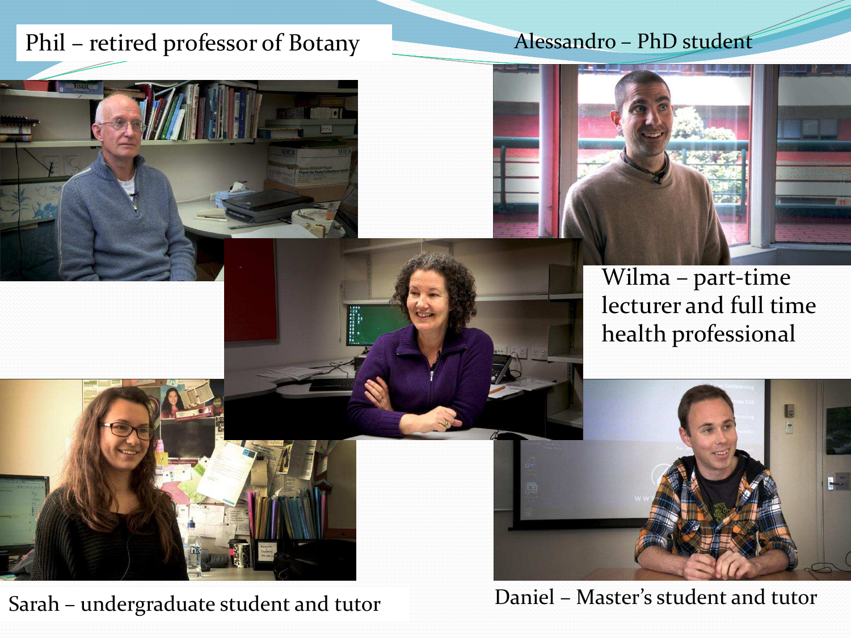### Phil – retired professor of Botany

### Alessandro - PhD student





Wilma - part-time lecturer and full time health professional



Sarah – undergraduate student and tutor Daniel – Master's student and tutor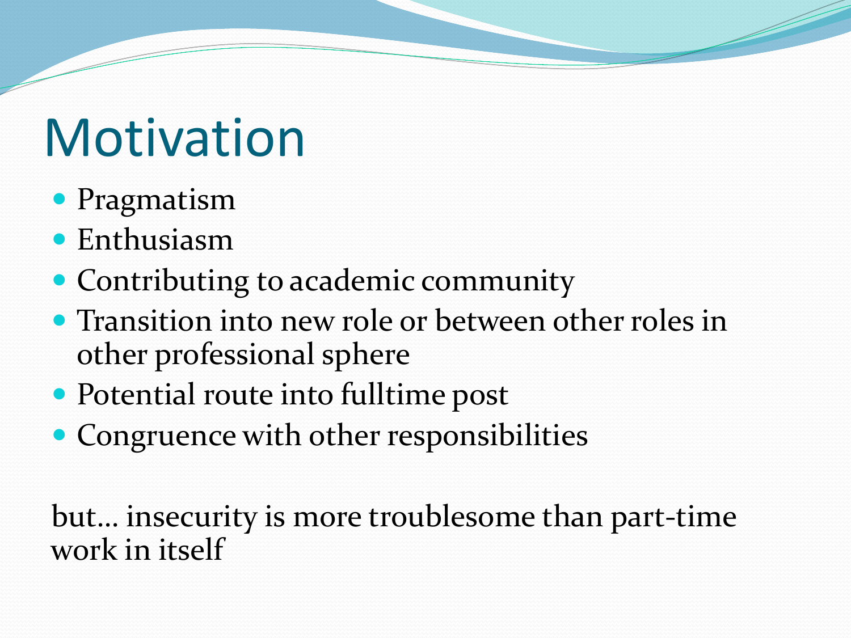## **Motivation**

- Pragmatism
- Enthusiasm
- Contributing to academic community
- Transition into new role or between other roles in other professional sphere
- Potential route into fulltime post
- Congruence with other responsibilities

but... insecurity is more troublesome than part-time work in itself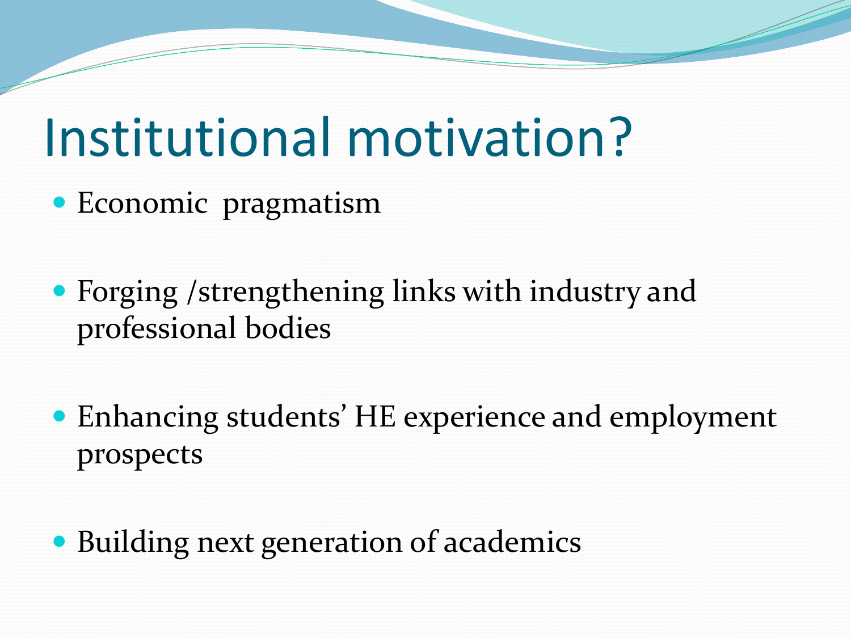### Institutional motivation?

- Economic pragmatism
- Forging /strengthening links with industry and professional bodies
- Enhancing students' HE experience and employment prospects
- Building next generation of academics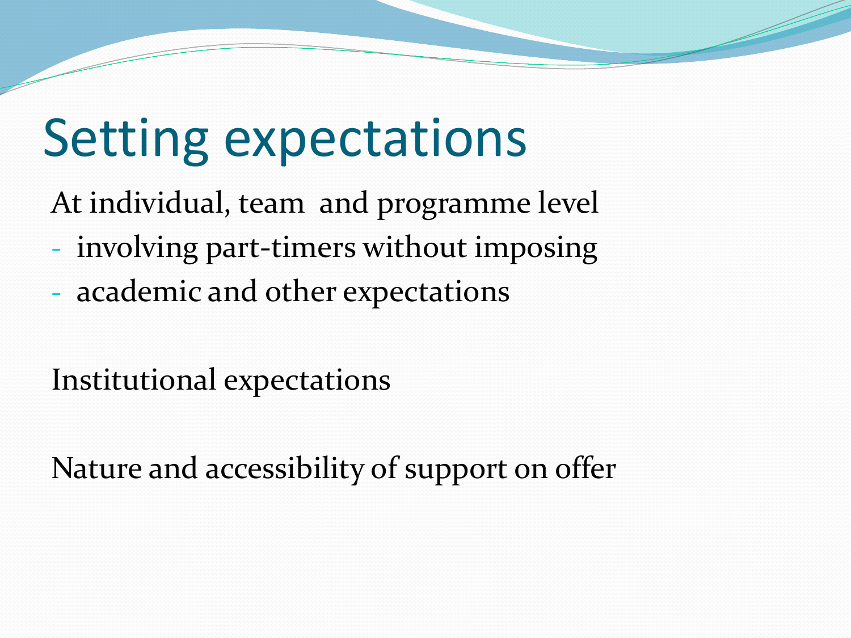## Setting expectations

At individual, team and programme level

- involving part-timers without imposing
- academic and other expectations

Institutional expectations

Nature and accessibility of support on offer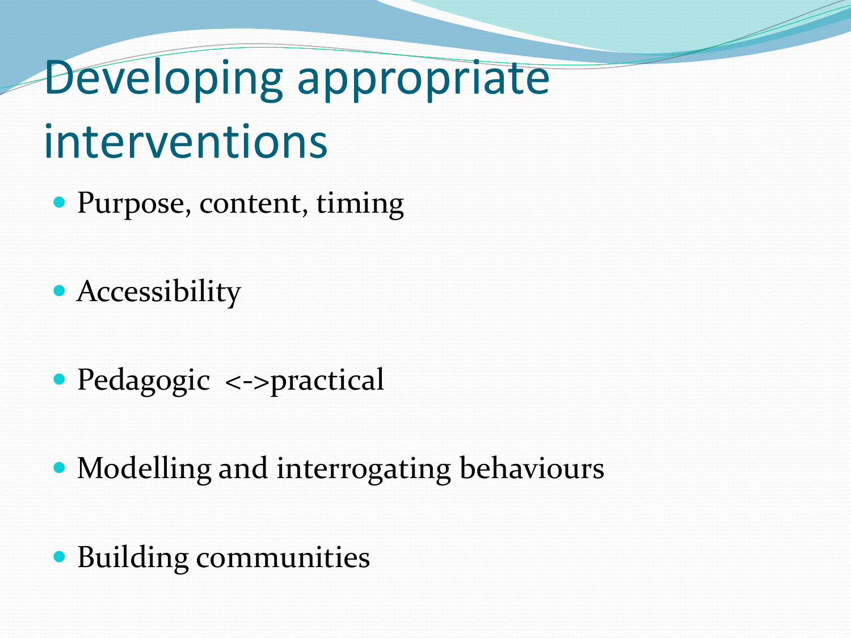# Developing appropriate interventions

- Purpose, content, timing
- Accessibility
- Pedagogic <->practical
- Modelling and interrogating behaviours
- Building communities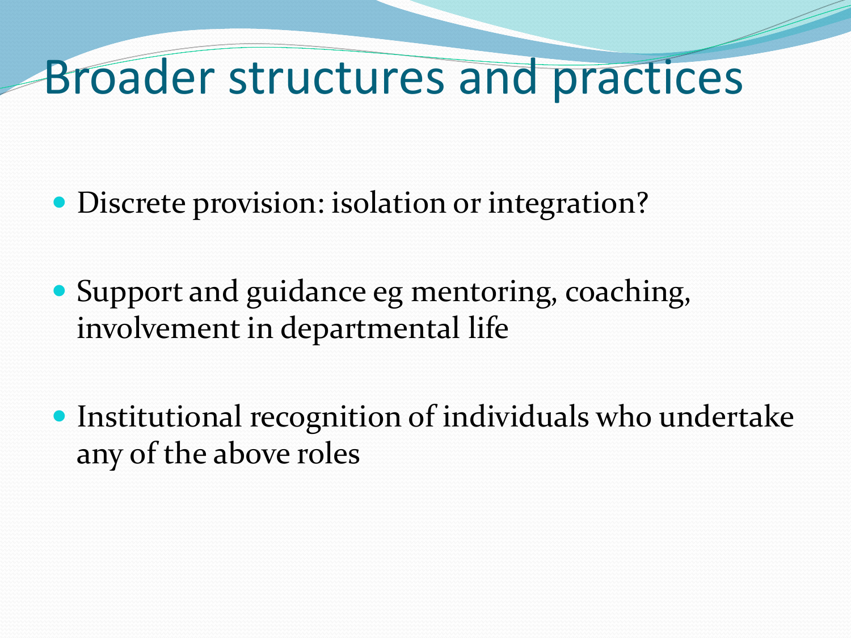### Broader structures and practices

- Discrete provision: isolation or integration?
- Support and guidance eg mentoring, coaching, involvement in departmental life
- Institutional recognition of individuals who undertake any of the above roles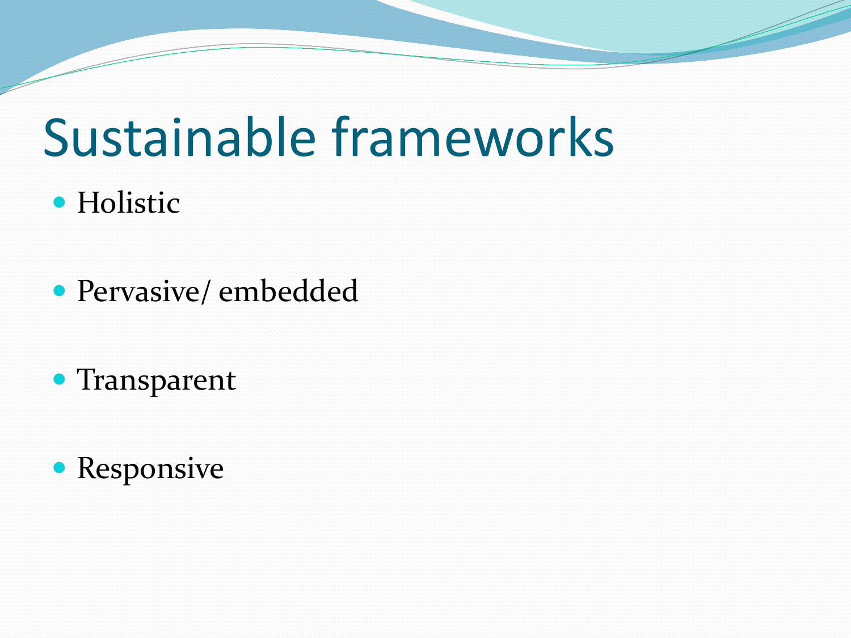### Sustainable frameworks

- **Holistic**
- Pervasive/ embedded
- Transparent
- Responsive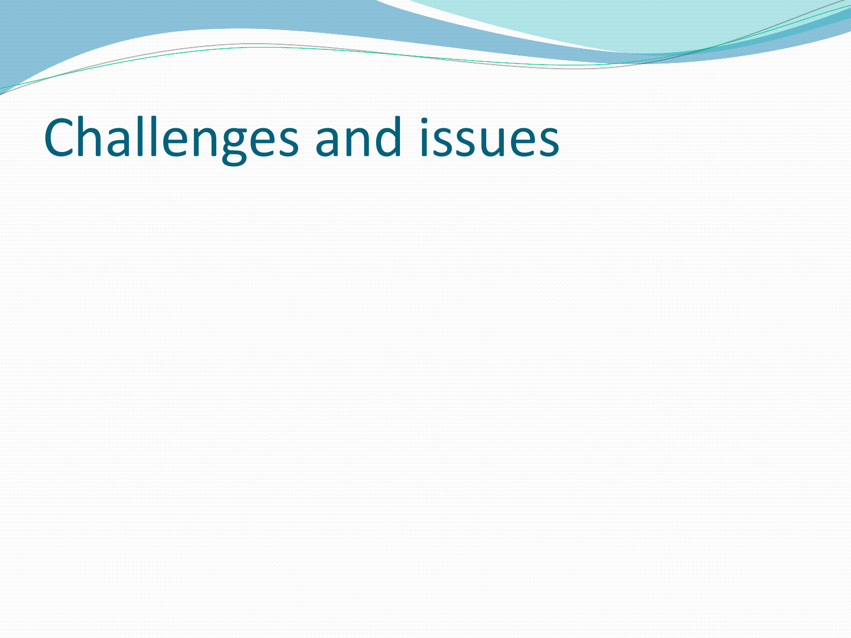## Challenges and issues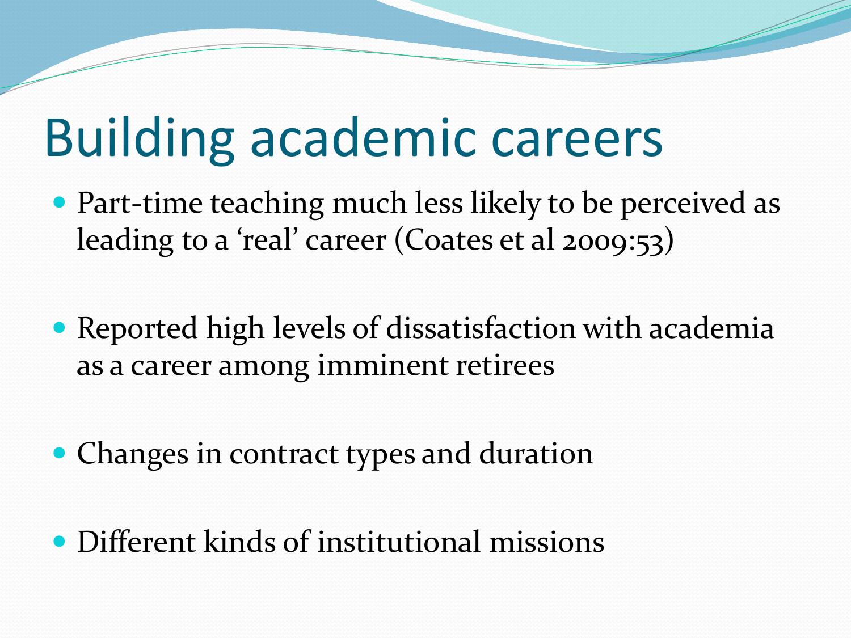### Building academic careers

- Part-time teaching much less likely to be perceived as leading to a 'real' career (Coates et al 2009:53)
- Reported high levels of dissatisfaction with academia as a career among imminent retirees
- Changes in contract types and duration
- Different kinds of institutional missions